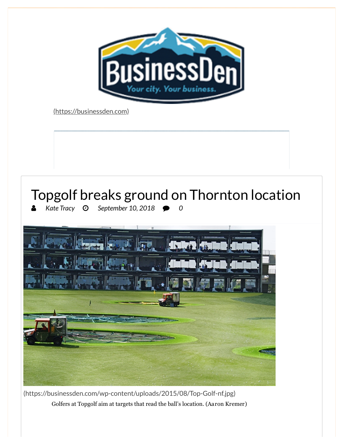

[\(https://businessden.com\)](https://businessden.com/)

## Topgolf breaks ground on Thornton location *Kate Tracy September 10, 2018 0*

https://businessden.com/2018/09/10/topgolf-breaks-ground-on-thornton-location/ 1/4

[\(https://businessden.com/wp-content/uploads/2015/08/Top-Golf-nf.jpg\)](https://googleads.g.doubleclick.net/pcs/click?xai=AKAOjsvKmrQf_WpE1e5kb1R8krdPLo00G_bbczaFZM4LZsHZGK7FbVDHIFmSpm9OY80e08zmNSEiEnq-ewfl886NivveFzIxlEpNZkj5k0H-5o6S3RNOqN3XuKI6XprtTbhoTECqpXk8EsEsVpVAlmQlonSLJk3bwVcWbUyJwVmH5GUOcJ0Mfi0ENvHmyxzK5lJ5Rl4ha51tmBrF0PITTx4qWR73l6KFwp168v1gfsJlBZp5JMhaGd0DucId8LGYYeXetXR57Jo&sai=AMfl-YT4Yr_FW3h9GNE-1Q5YlvIhwBnU_A3wZShHogWwOulpV2YEnKS50UCfK4jOEdPyrhwS6u_BEBRSSVSuprp1qxwdxUWdMSTAtD-V9MRe3tb7f1407LqAOJcTi4xv&sig=Cg0ArKJSzIHS5yJej0WL&adurl=https://www.efirstbank.com/products/treasury-management.htm%3Fsource%3Dbusdenoctoberwrap&nx=CLICK_X&ny=CLICK_Y) Golfers at Topgolf aim at targets that read the ball's location. (Aaron Kremer)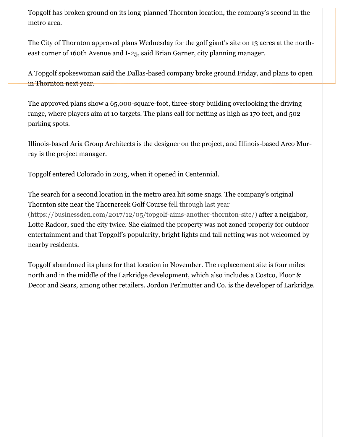Topgolf has broken ground on its long-planned Thornton location, the company's second in the metro area.

[The City of Thornton approved plans Wednesday for the golf giant's site on 13 acres at the north](https://googleads.g.doubleclick.net/pcs/click?xai=AKAOjsvKmrQf_WpE1e5kb1R8krdPLo00G_bbczaFZM4LZsHZGK7FbVDHIFmSpm9OY80e08zmNSEiEnq-ewfl886NivveFzIxlEpNZkj5k0H-5o6S3RNOqN3XuKI6XprtTbhoTECqpXk8EsEsVpVAlmQlonSLJk3bwVcWbUyJwVmH5GUOcJ0Mfi0ENvHmyxzK5lJ5Rl4ha51tmBrF0PITTx4qWR73l6KFwp168v1gfsJlBZp5JMhaGd0DucId8LGYYeXetXR57Jo&sai=AMfl-YT4Yr_FW3h9GNE-1Q5YlvIhwBnU_A3wZShHogWwOulpV2YEnKS50UCfK4jOEdPyrhwS6u_BEBRSSVSuprp1qxwdxUWdMSTAtD-V9MRe3tb7f1407LqAOJcTi4xv&sig=Cg0ArKJSzIHS5yJej0WL&adurl=https://www.efirstbank.com/products/treasury-management.htm%3Fsource%3Dbusdenoctoberwrap&nx=CLICK_X&ny=CLICK_Y)east corner of 160th Avenue and I-25, said Brian Garner, city planning manager.

A Topgolf spokeswoman said the Dallas-based company broke ground Friday, and plans to open in Thornton next year.

The approved plans show a 65,000-square-foot, three-story building overlooking the driving range, where players aim at 10 targets. The plans call for netting as high as 170 feet, and 502 parking spots.

Illinois-based Aria Group Architects is the designer on the project, and Illinois-based Arco Murray is the project manager.

Topgolf entered Colorado in 2015, when it opened in Centennial.

The search for a second location in the metro area hit some snags. The company's original Thornton site near the Thorncreek Golf Course fell through last year [\(https://businessden.com/2017/12/05/topgolf-aims-another-thornton-site/\)](https://businessden.com/2017/12/05/topgolf-aims-another-thornton-site/) after a neighbor, Lotte Radoor, sued the city twice. She claimed the property was not zoned properly for outdoor entertainment and that Topgolf's popularity, bright lights and tall netting was not welcomed by nearby residents.

Topgolf abandoned its plans for that location in November. The replacement site is four miles north and in the middle of the Larkridge development, which also includes a Costco, Floor & Decor and Sears, among other retailers. Jordon Perlmutter and Co. is the developer of Larkridge.

https://businessden.com/2018/09/10/topgolf-breaks-ground-on-thornton-location/ 2/4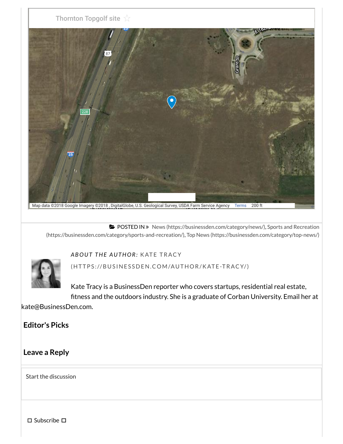

Map data ©2018 Google Imagery ©2018, DigitalGlobe, U.S. Geological Survey, USDA Farm Service Agency [Terms](https://www.google.com/intl/en/help/terms_maps.html) 200 ft

**B** POSTED IN » News [\(https://businessden.com/category/news/\),](https://businessden.com/category/news/) Sports and Recreation [\(https://businessden.com/category/sports-and-recreation/\),](https://businessden.com/category/sports-and-recreation/) Top News [\(https://businessden.com/category/top-news/\)](https://businessden.com/category/top-news/)



*AB O UT THE AUTH O R:* KAT E TRACY

(HTTPS://BUSINES[SDEN.COM/AU](https://businessden.com/author/kate-tracy/)THOR/KATE-TRACY/)

https://businessden.com/2018/09/10/topgolf-breaks-ground-on-thornton-location/ 3/4

Kate Tracy is a BusinessDen reporter who covers startups, residential real estate, fitness and the outdoors industry. She is a graduate of Corban University. Email her at

kate@BusinessDen.com.

## **Editor's Picks**

## **Leave a Reply**

Start the discussion